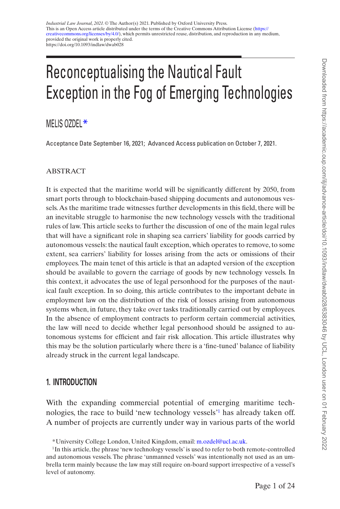# Reconceptualising the Nautical Fault Exception in the Fog of Emerging Technologies

MELIS OZDEL<sup>\*</sup>

Acceptance Date September 16, 2021; Advanced Access publication on October 7, 2021.

## ABSTRACT

It is expected that the maritime world will be significantly different by 2050, from smart ports through to blockchain-based shipping documents and autonomous vessels. As the maritime trade witnesses further developments in this field, there will be an inevitable struggle to harmonise the new technology vessels with the traditional rules of law. This article seeks to further the discussion of one of the main legal rules that will have a significant role in shaping sea carriers' liability for goods carried by autonomous vessels: the nautical fault exception, which operates to remove, to some extent, sea carriers' liability for losses arising from the acts or omissions of their employees. The main tenet of this article is that an adapted version of the exception should be available to govern the carriage of goods by new technology vessels. In this context, it advocates the use of legal personhood for the purposes of the nautical fault exception. In so doing, this article contributes to the important debate in employment law on the distribution of the risk of losses arising from autonomous systems when, in future, they take over tasks traditionally carried out by employees. In the absence of employment contracts to perform certain commercial activities, the law will need to decide whether legal personhood should be assigned to autonomous systems for efficient and fair risk allocation. This article illustrates why this may be the solution particularly where there is a 'fine-tuned' balance of liability already struck in the current legal landscape.

# **1. INTRODUCTION**

With the expanding commercial potential of emerging maritime technologies, the race to build 'new technology vessels'[1](#page-0-0) has already taken off. A number of projects are currently under way in various parts of the world

<span id="page-0-0"></span><sup>\*</sup>University College London, United Kingdom, email: [m.ozdel@ucl.ac.uk](mailto:m.ozdel@ucl.ac.uk?subject=).

<sup>&</sup>lt;sup>1</sup>In this article, the phrase 'new technology vessels' is used to refer to both remote-controlled and autonomous vessels. The phrase 'unmanned vessels' was intentionally not used as an umbrella term mainly because the law may still require on-board support irrespective of a vessel's level of autonomy.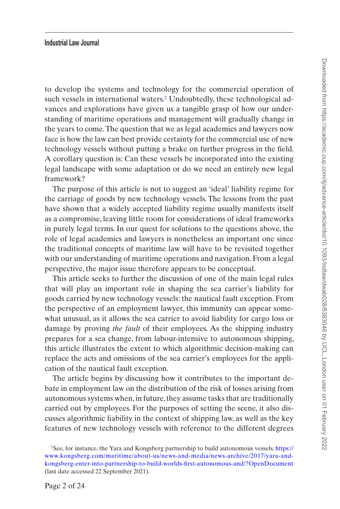to develop the systems and technology for the commercial operation of such vessels in international waters.<sup>[2](#page-1-0)</sup> Undoubtedly, these technological advances and explorations have given us a tangible grasp of how our understanding of maritime operations and management will gradually change in the years to come. The question that we as legal academics and lawyers now face is how the law can best provide certainty for the commercial use of new technology vessels without putting a brake on further progress in the field. A corollary question is: Can these vessels be incorporated into the existing legal landscape with some adaptation or do we need an entirely new legal framework?

The purpose of this article is not to suggest an 'ideal' liability regime for the carriage of goods by new technology vessels. The lessons from the past have shown that a widely accepted liability regime usually manifests itself as a compromise, leaving little room for considerations of ideal frameworks in purely legal terms. In our quest for solutions to the questions above, the role of legal academics and lawyers is nonetheless an important one since the traditional concepts of maritime law will have to be revisited together with our understanding of maritime operations and navigation. From a legal perspective, the major issue therefore appears to be conceptual.

This article seeks to further the discussion of one of the main legal rules that will play an important role in shaping the sea carrier's liability for goods carried by new technology vessels: the nautical fault exception. From the perspective of an employment lawyer, this immunity can appear somewhat unusual, as it allows the sea carrier to avoid liability for cargo loss or damage by proving *the fault* of their employees. As the shipping industry prepares for a sea change, from labour-intensive to autonomous shipping, this article illustrates the extent to which algorithmic decision-making can replace the acts and omissions of the sea carrier's employees for the application of the nautical fault exception.

The article begins by discussing how it contributes to the important debate in employment law on the distribution of the risk of losses arising from autonomous systems when, in future, they assume tasks that are traditionally carried out by employees. For the purposes of setting the scene, it also discusses algorithmic liability in the context of shipping law, as well as the key features of new technology vessels with reference to the different degrees

<span id="page-1-0"></span><sup>2</sup>See, for instance, the Yara and Kongsberg partnership to build autonomous vessels. [https://](https://www.kongsberg.com/maritime/about-us/news-and-media/news-archive/2017/yara-and-kongsberg-enter-into-partnership-to-build-worlds-first-autonomous-and/?OpenDocument) [www.kongsberg.com/maritime/about-us/news-and-media/news-archive/2017/yara-and](https://www.kongsberg.com/maritime/about-us/news-and-media/news-archive/2017/yara-and-kongsberg-enter-into-partnership-to-build-worlds-first-autonomous-and/?OpenDocument)[kongsberg-enter-into-partnership-to-build-worlds-first-autonomous-and/?OpenDocument](https://www.kongsberg.com/maritime/about-us/news-and-media/news-archive/2017/yara-and-kongsberg-enter-into-partnership-to-build-worlds-first-autonomous-and/?OpenDocument) (last date accessed 22 September 2021).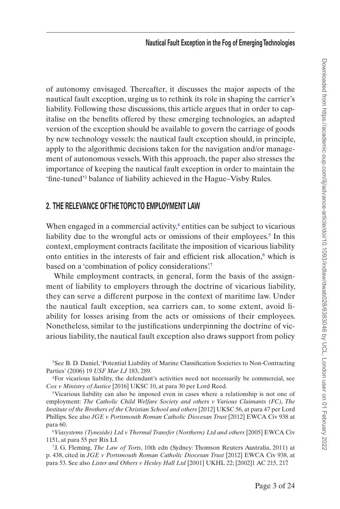of autonomy envisaged. Thereafter, it discusses the major aspects of the nautical fault exception, urging us to rethink its role in shaping the carrier's liability. Following these discussions, this article argues that in order to capitalise on the benefits offered by these emerging technologies, an adapted version of the exception should be available to govern the carriage of goods by new technology vessels: the nautical fault exception should, in principle, apply to the algorithmic decisions taken for the navigation and/or management of autonomous vessels. With this approach, the paper also stresses the importance of keeping the nautical fault exception in order to maintain the 'fine-tuned['3](#page-2-0) balance of liability achieved in the Hague–Visby Rules.

# **2. THE RELEVANCE OF THE TOPIC TO EMPLOYMENT LAW**

When engaged in a commercial activity, $4$  entities can be subject to vicarious liability due to the wrongful acts or omissions of their employees.<sup>5</sup> In this context, employment contracts facilitate the imposition of vicarious liability onto entities in the interests of fair and efficient risk allocation, $6$  which is based on a 'combination of policy considerations'.[7](#page-2-4)

While employment contracts, in general, form the basis of the assignment of liability to employers through the doctrine of vicarious liability, they can serve a different purpose in the context of maritime law. Under the nautical fault exception, sea carriers can, to some extent, avoid liability for losses arising from the acts or omissions of their employees. Nonetheless, similar to the justifications underpinning the doctrine of vicarious liability, the nautical fault exception also draws support from policy

<span id="page-2-3"></span><sup>6</sup>*Viasystems (Tyneside) Ltd v Thermal Transfer (Northern) Ltd and others* [2005] EWCA Civ 1151, at para 55 per Rix LJ.

<span id="page-2-0"></span><sup>&</sup>lt;sup>3</sup>See B. D. Daniel, 'Potential Liability of Marine Classification Societies to Non-Contracting Parties' (2006) 19 *USF Mar LJ* 183, 289.

<span id="page-2-1"></span><sup>4</sup>For vicarious liability, the defendant's activities need not necessarily be commercial, see *Cox v Ministry of Justice* [2016] UKSC 10, at para 30 per Lord Reed.

<span id="page-2-2"></span><sup>5</sup>Vicarious liability can also be imposed even in cases where a relationship is not one of employment: *The Catholic Child Welfare Society and others v Various Claimants (FC), The Institute of the Brothers of the Christian School and others* [2012] UKSC 56, at para 47 per Lord Phillips. See also *JGE v Portsmouth Roman Catholic Diocesan Trust* [2012] EWCA Civ 938 at para 60.

<span id="page-2-4"></span><sup>7</sup>J. G. Fleming, *The Law of Torts*, 10th edn (Sydney: Thomson Reuters Australia, 2011) at p. 438, cited in *JGE v Portsmouth Roman Catholic Diocesan Trust* [2012] EWCA Civ 938, at para 53. See also *Lister and Others v Hesley Hall Ltd* [2001] UKHL 22; [2002]1 AC 215, 217.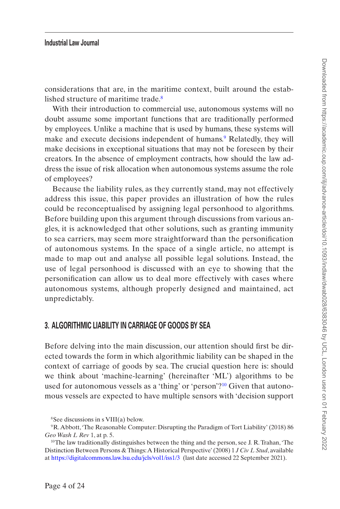considerations that are, in the maritime context, built around the established structure of maritime trade.<sup>8</sup>

With their introduction to commercial use, autonomous systems will no doubt assume some important functions that are traditionally performed by employees. Unlike a machine that is used by humans, these systems will make and execute decisions independent of humans.<sup>9</sup> Relatedly, they will make decisions in exceptional situations that may not be foreseen by their creators. In the absence of employment contracts, how should the law address the issue of risk allocation when autonomous systems assume the role of employees?

Because the liability rules, as they currently stand, may not effectively address this issue, this paper provides an illustration of how the rules could be reconceptualised by assigning legal personhood to algorithms. Before building upon this argument through discussions from various angles, it is acknowledged that other solutions, such as granting immunity to sea carriers, may seem more straightforward than the personification of autonomous systems. In the space of a single article, no attempt is made to map out and analyse all possible legal solutions. Instead, the use of legal personhood is discussed with an eye to showing that the personification can allow us to deal more effectively with cases where autonomous systems, although properly designed and maintained, act unpredictably.

## **3. ALGORITHMIC LIABILITY IN CARRIAGE OF GOODS BY SEA**

Before delving into the main discussion, our attention should first be directed towards the form in which algorithmic liability can be shaped in the context of carriage of goods by sea. The crucial question here is: should we think about 'machine-learning' (hereinafter 'ML') algorithms to be used for autonomous vessels as a 'thing' or 'person'?[10](#page-3-2) Given that autonomous vessels are expected to have multiple sensors with 'decision support

<span id="page-3-1"></span><span id="page-3-0"></span><sup>8</sup>See discussions in s VIII(a) below.

<sup>9</sup>R. Abbott, 'The Reasonable Computer: Disrupting the Paradigm of Tort Liability' (2018) 86 *Geo Wash L Rev* 1, at p. 5.

<span id="page-3-2"></span><sup>&</sup>lt;sup>10</sup>The law traditionally distinguishes between the thing and the person, see J. R. Trahan, 'The Distinction Between Persons & Things: A Historical Perspective' (2008) 1 *J Civ L Stud*, available at <https://digitalcommons.law.lsu.edu/jcls/vol1/iss1/3> (last date accessed 22 September 2021).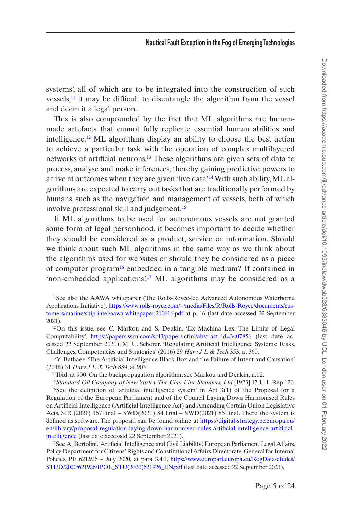systems', all of which are to be integrated into the construction of such vessels, $<sup>11</sup>$  it may be difficult to disentangle the algorithm from the vessel</sup> and deem it a legal person.

This is also compounded by the fact that ML algorithms are humanmade artefacts that cannot fully replicate essential human abilities and intelligence[.12](#page-4-1) ML algorithms display an ability to choose the best action to achieve a particular task with the operation of complex multilayered networks of artificial neurons.[13](#page-4-2) These algorithms are given sets of data to process, analyse and make inferences, thereby gaining predictive powers to arrive at outcomes when they are given 'live data'.<sup>14</sup> With such ability, ML algorithms are expected to carry out tasks that are traditionally performed by humans, such as the navigation and management of vessels, both of which involve professional skill and judgement.<sup>[15](#page-4-4)</sup>

If ML algorithms to be used for autonomous vessels are not granted some form of legal personhood, it becomes important to decide whether they should be considered as a product, service or information. Should we think about such ML algorithms in the same way as we think about the algorithms used for websites or should they be considered as a piece of computer program<sup>16</sup> embedded in a tangible medium? If contained in 'non-embedded applications',<sup>17</sup> ML algorithms may be considered as a

<span id="page-4-0"></span><sup>11</sup>See also the AAWA whitepaper (The Rolls-Royce-led Advanced Autonomous Waterborne Applications Initiative), [https://www.rolls-royce.com/~/media/Files/R/Rolls-Royce/documents/cus](https://www.rolls-royce.com/~/media/Files/R/Rolls-Royce/documents/customers/marine/ship-intel/aawa-whitepaper-210616.pdf)[tomers/marine/ship-intel/aawa-whitepaper-210616.pdf](https://www.rolls-royce.com/~/media/Files/R/Rolls-Royce/documents/customers/marine/ship-intel/aawa-whitepaper-210616.pdf) at p. 16 (last date accessed 22 September 2021).

<span id="page-4-1"></span><sup>12</sup>On this issue, see C. Markou and S. Deakin, 'Ex Machina Lex: The Limits of Legal Computability', [https://papers.ssrn.com/sol3/papers.cfm?abstract\\_id=3407856](https://papers.ssrn.com/sol3/papers.cfm?abstract_id=3407856) (last date accessed 22 September 2021); M. U. Scherer, 'Regulating Artificial Intelligence Systems: Risks, Challenges, Competencies and Strategies' (2016) 29 *Harv J L & Tech* 353, at 360.

<span id="page-4-2"></span><sup>13</sup>Y. Bathaee, 'The Artificial Intelligence Black Box and the Failure of Intent and Causation' (2018) 31 *Harv J L & Tech* 889, at 903.

<span id="page-4-3"></span><sup>&</sup>lt;sup>14</sup>Ibid. at 900. On the backpropagation algorithm, see Markou and Deakin, n.12.

<span id="page-4-5"></span><span id="page-4-4"></span><sup>15</sup>*Standard Oil Company of New York v The Clan Line Steamers, Ltd* [1923] 17 Ll L Rep 120.

 $16$ See the definition of 'artificial intelligence system' in Art 3(1) of the Proposal for a Regulation of the European Parliament and of the Council Laying Down Harmonised Rules on Artificial Intelligence (Artificial Intelligence Act) and Amending Certain Union Legislative Acts, SEC(2021) 167 final – SWD(2021) 84 final – SWD(2021) 85 final. There the system is defined as software. The proposal can be found online at [https://digital-strategy.ec.europa.eu/](https://digital-strategy.ec.europa.eu/en/library/proposal-regulation-laying-down-harmonised-rules-artificial-intelligence-artificial-intelligence) [en/library/proposal-regulation-laying-down-harmonised-rules-artificial-intelligence-artificial](https://digital-strategy.ec.europa.eu/en/library/proposal-regulation-laying-down-harmonised-rules-artificial-intelligence-artificial-intelligence)[intelligence](https://digital-strategy.ec.europa.eu/en/library/proposal-regulation-laying-down-harmonised-rules-artificial-intelligence-artificial-intelligence) (last date accessed 22 September 2021).

<span id="page-4-6"></span><sup>&</sup>lt;sup>17</sup>See A. Bertolini, 'Artificial Intelligence and Civil Liability', European Parliament Legal Affairs, Policy Department for Citizens' Rights and Constitutional Affairs Directorate-General for Internal Policies, PE 621.926 – July 2020, at para 3.4.1, [https://www.europarl.europa.eu/RegData/etudes/](https://www.europarl.europa.eu/RegData/etudes/STUD/2020/621926/IPOL_STU(2020)621926_EN.pdf) [STUD/2020/621926/IPOL\\_STU\(2020\)621926\\_EN.pdf](https://www.europarl.europa.eu/RegData/etudes/STUD/2020/621926/IPOL_STU(2020)621926_EN.pdf) (last date accessed 22 September 2021).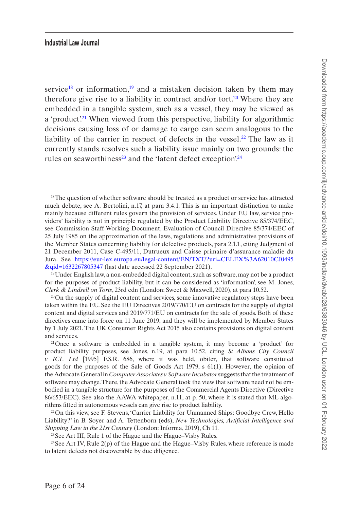service<sup>18</sup> or information,<sup>19</sup> and a mistaken decision taken by them may therefore give rise to a liability in contract and/or tort.<sup>[20](#page-5-2)</sup> Where they are embedded in a tangible system, such as a vessel, they may be viewed as a 'product'<sup>21</sup> When viewed from this perspective, liability for algorithmic decisions causing loss of or damage to cargo can seem analogous to the liability of the carrier in respect of defects in the vessel.<sup>22</sup> The law as it currently stands resolves such a liability issue mainly on two grounds: the rules on seaworthiness<sup>23</sup> and the 'latent defect exception'.<sup>[24](#page-5-6)</sup>

<span id="page-5-0"></span><sup>18</sup>The question of whether software should be treated as a product or service has attracted much debate, see A. Bertolini, n.17, at para 3.4.1. This is an important distinction to make mainly because different rules govern the provision of services. Under EU law, service providers' liability is not in principle regulated by the Product Liability Directive 85/374/EEC, see Commission Staff Working Document, Evaluation of Council Directive 85/374/EEC of 25 July 1985 on the approximation of the laws, regulations and administrative provisions of the Member States concerning liability for defective products, para 2.1.1, citing Judgment of 21 December 2011, Case C-495/11, Dutrueux and Caisse primaire d'assurance maladie du Jura. See [https://eur-lex.europa.eu/legal-content/EN/TXT/?uri=CELEX%3A62010CJ0495](https://eur-lex.europa.eu/legal-content/EN/TXT/?uri=CELEX%3A62010CJ0495&qid=1632267805347) [&qid=1632267805347](https://eur-lex.europa.eu/legal-content/EN/TXT/?uri=CELEX%3A62010CJ0495&qid=1632267805347) (last date accessed 22 September 2021).

<span id="page-5-1"></span> $19$ Under English law, a non-embedded digital content, such as software, may not be a product for the purposes of product liability, but it can be considered as 'information', see M. Jones, *Clerk & Lindsell on Torts*, 23rd edn (London: Sweet & Maxwell, 2020), at para 10.52.

<span id="page-5-2"></span> $20$ On the supply of digital content and services, some innovative regulatory steps have been taken within the EU. See the EU Directives 2019/770/EU on contracts for the supply of digital content and digital services and 2019/771/EU on contracts for the sale of goods. Both of these directives came into force on 11 June 2019, and they will be implemented by Member States by 1 July 2021. The UK Consumer Rights Act 2015 also contains provisions on digital content and services.

<span id="page-5-3"></span>21Once a software is embedded in a tangible system, it may become a 'product' for product liability purposes, see Jones, n.19, at para 10.52, citing *St Albans City Council v ICL Ltd*  [1995] F.S.R. 686, where it was held, obiter, that software constituted goods for the purposes of the Sale of Goods Act 1979, s 61(1). However, the opinion of the Advocate General in *Computer Associates v Software Incubator* suggests that the treatment of software may change. There, the Advocate General took the view that software need not be embodied in a tangible structure for the purposes of the Commercial Agents Directive (Directive 86/653/EEC). See also the AAWA whitepaper, n.11, at p. 50, where it is stated that ML algorithms fitted in autonomous vessels can give rise to product liability.

<span id="page-5-4"></span>22On this view, see F. Stevens, 'Carrier Liability for Unmanned Ships: Goodbye Crew, Hello Liability?' in B. Soyer and A. Tettenborn (eds), *New Technologies, Artificial Intelligence and Shipping Law in the 21st Century* (London: Informa, 2019), Ch 11.

<span id="page-5-6"></span><span id="page-5-5"></span>23See Art III, Rule 1 of the Hague and the Hague–Visby Rules.

<sup>24</sup>See Art IV, Rule  $2(p)$  of the Hague and the Hague–Visby Rules, where reference is made to latent defects not discoverable by due diligence.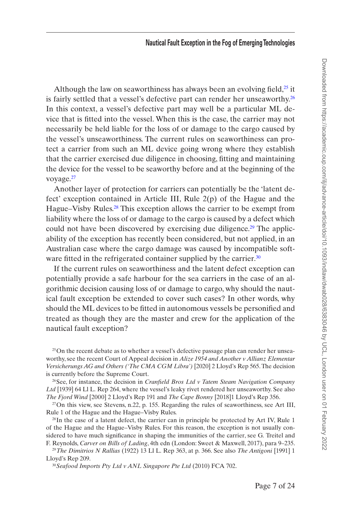Although the law on seaworthiness has always been an evolving field, $^{25}$  it is fairly settled that a vessel's defective part can render her unseaworthy.<sup>[26](#page-6-1)</sup> In this context, a vessel's defective part may well be a particular ML device that is fitted into the vessel. When this is the case, the carrier may not necessarily be held liable for the loss of or damage to the cargo caused by the vessel's unseaworthiness. The current rules on seaworthiness can protect a carrier from such an ML device going wrong where they establish that the carrier exercised due diligence in choosing, fitting and maintaining the device for the vessel to be seaworthy before and at the beginning of the voyage.<sup>[27](#page-6-2)</sup>

Another layer of protection for carriers can potentially be the 'latent defect' exception contained in Article III, Rule 2(p) of the Hague and the Hague–Visby Rules.<sup>28</sup> This exception allows the carrier to be exempt from liability where the loss of or damage to the cargo is caused by a defect which could not have been discovered by exercising due diligence.<sup>29</sup> The applicability of the exception has recently been considered, but not applied, in an Australian case where the cargo damage was caused by incompatible software fitted in the refrigerated container supplied by the carrier.<sup>30</sup>

If the current rules on seaworthiness and the latent defect exception can potentially provide a safe harbour for the sea carriers in the case of an algorithmic decision causing loss of or damage to cargo, why should the nautical fault exception be extended to cover such cases? In other words, why should the ML devices to be fitted in autonomous vessels be personified and treated as though they are the master and crew for the application of the nautical fault exception?

<span id="page-6-0"></span>25On the recent debate as to whether a vessel's defective passage plan can render her unseaworthy, see the recent Court of Appeal decision in *Alize 1954 and Another v Allianz Elementar Versicherungs AG and Others ('The CMA CGM Libra')* [2020] 2 Lloyd's Rep 565. The decision is currently before the Supreme Court.

<span id="page-6-1"></span>26See, for instance, the decision in *Cranfield Bros Ltd v Tatem Steam Navigation Company Ltd* [1939] 64 Ll L. Rep 264, where the vessel's leaky rivet rendered her unseaworthy. See also *The Fjord Wind* [2000] 2 Lloyd's Rep 191 and *The Cape Bonny* [2018]1 Lloyd's Rep 356.

<span id="page-6-2"></span> $27$ On this view, see Stevens, n.22, p. 155. Regarding the rules of seaworthiness, see Art III, Rule 1 of the Hague and the Hague–Visby Rules.

<span id="page-6-3"></span><sup>28</sup>In the case of a latent defect, the carrier can in principle be protected by Art IV, Rule 1 of the Hague and the Hague–Visby Rules. For this reason, the exception is not usually considered to have much significance in shaping the immunities of the carrier, see G. Treitel and F. Reynolds, *Carver on Bills of Lading*, 4th edn (London: Sweet & Maxwell, 2017), para 9–235.

<span id="page-6-4"></span><sup>29</sup>*The Dimitrios N Rallias* (1922) 13 Ll L. Rep 363, at p. 366. See also *The Antigoni* [1991] 1 Lloyd's Rep 209.

<span id="page-6-5"></span><sup>30</sup>*Seafood Imports Pty Ltd v ANL Singapore Pte Ltd* (2010) FCA 702.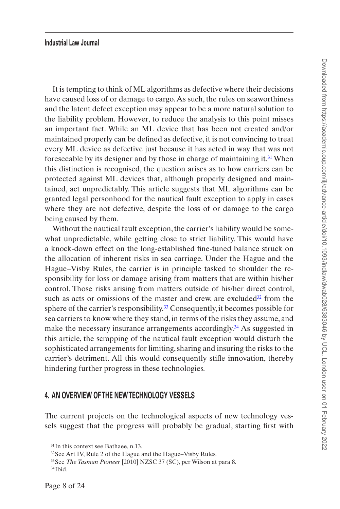It is tempting to think of ML algorithms as defective where their decisions have caused loss of or damage to cargo. As such, the rules on seaworthiness and the latent defect exception may appear to be a more natural solution to the liability problem. However, to reduce the analysis to this point misses an important fact. While an ML device that has been not created and/or maintained properly can be defined as defective, it is not convincing to treat every ML device as defective just because it has acted in way that was not foreseeable by its designer and by those in charge of maintaining it.<sup>31</sup> When this distinction is recognised, the question arises as to how carriers can be protected against ML devices that, although properly designed and maintained, act unpredictably. This article suggests that ML algorithms can be granted legal personhood for the nautical fault exception to apply in cases where they are not defective, despite the loss of or damage to the cargo being caused by them.

Without the nautical fault exception, the carrier's liability would be somewhat unpredictable, while getting close to strict liability. This would have a knock-down effect on the long-established fine-tuned balance struck on the allocation of inherent risks in sea carriage. Under the Hague and the Hague–Visby Rules, the carrier is in principle tasked to shoulder the responsibility for loss or damage arising from matters that are within his/her control. Those risks arising from matters outside of his/her direct control, such as acts or omissions of the master and crew, are excluded $32$  from the sphere of the carrier's responsibility.<sup>33</sup> Consequently, it becomes possible for sea carriers to know where they stand, in terms of the risks they assume, and make the necessary insurance arrangements accordingly.<sup>34</sup> As suggested in this article, the scrapping of the nautical fault exception would disturb the sophisticated arrangements for limiting, sharing and insuring the risks to the carrier's detriment. All this would consequently stifle innovation, thereby hindering further progress in these technologies.

## **4. AN OVERVIEW OF THE NEW TECHNOLOGY VESSELS**

The current projects on the technological aspects of new technology vessels suggest that the progress will probably be gradual, starting first with

<span id="page-7-0"></span><sup>&</sup>lt;sup>31</sup>In this context see Bathaee, n.13.

<span id="page-7-1"></span><sup>32</sup>See Art IV, Rule 2 of the Hague and the Hague–Visby Rules.

<span id="page-7-2"></span><sup>33</sup>See *The Tasman Pioneer* [2010] NZSC 37 (SC), per Wilson at para 8. 34Ibid.

<span id="page-7-3"></span>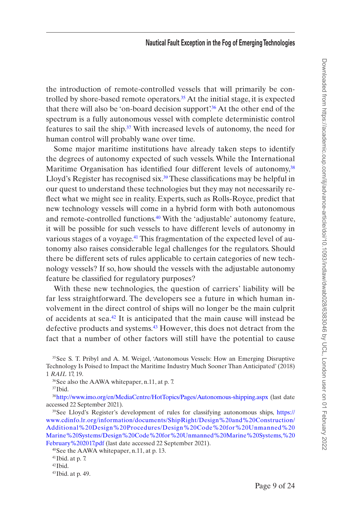the introduction of remote-controlled vessels that will primarily be controlled by shore-based remote operators.[35](#page-8-0) At the initial stage, it is expected that there will also be 'on-board decision support'[.36](#page-8-1) At the other end of the spectrum is a fully autonomous vessel with complete deterministic control features to sail the ship.<sup>37</sup> With increased levels of autonomy, the need for human control will probably wane over time.

Some major maritime institutions have already taken steps to identify the degrees of autonomy expected of such vessels. While the International Maritime Organisation has identified four different levels of autonomy,<sup>[38](#page-8-3)</sup> Lloyd's Register has recognised six.<sup>39</sup> These classifications may be helpful in our quest to understand these technologies but they may not necessarily reflect what we might see in reality. Experts, such as Rolls-Royce, predict that new technology vessels will come in a hybrid form with both autonomous and remote-controlled functions.[40](#page-8-5) With the 'adjustable' autonomy feature, it will be possible for such vessels to have different levels of autonomy in various stages of a voyage.<sup>41</sup> This fragmentation of the expected level of autonomy also raises considerable legal challenges for the regulators. Should there be different sets of rules applicable to certain categories of new technology vessels? If so, how should the vessels with the adjustable autonomy feature be classified for regulatory purposes?

With these new technologies, the question of carriers' liability will be far less straightforward. The developers see a future in which human involvement in the direct control of ships will no longer be the main culprit of accidents at sea.[42](#page-8-7) It is anticipated that the main cause will instead be defective products and systems.<sup>43</sup> However, this does not detract from the fact that a number of other factors will still have the potential to cause

<span id="page-8-5"></span>40See the AAWA whitepaper, n.11, at p. 13.

<span id="page-8-0"></span><sup>&</sup>lt;sup>35</sup>See S. T. Pribyl and A. M. Weigel, 'Autonomous Vessels: How an Emerging Disruptive Technology Is Poised to Impact the Maritime Industry Much Sooner Than Anticipated' (2018) 1 *RAIL* 17, 19.

<span id="page-8-1"></span><sup>36</sup>See also the AAWA whitepaper, n.11, at p. 7.

<span id="page-8-3"></span><span id="page-8-2"></span><sup>37</sup>Ibid.

<sup>38</sup><http://www.imo.org/en/MediaCentre/HotTopics/Pages/Autonomous-shipping.aspx> (last date accessed 22 September 2021).

<span id="page-8-4"></span><sup>&</sup>lt;sup>39</sup>See Lloyd's Register's development of rules for classifying autonomous ships, [https://](https://www.cdinfo.lr.org/information/documents/ShipRight/Design%20and%20Construction/Additional%20Design%20Procedures/Design%20Code%20for%20Unmanned%20Marine%20Systems/Design%20Code%20for%20Unmanned%20Marine%20Systems,%20February%202017.pdf) [www.cdinfo.lr.org/information/documents/ShipRight/Design%20and%20Construction/](https://www.cdinfo.lr.org/information/documents/ShipRight/Design%20and%20Construction/Additional%20Design%20Procedures/Design%20Code%20for%20Unmanned%20Marine%20Systems/Design%20Code%20for%20Unmanned%20Marine%20Systems,%20February%202017.pdf) [Additional%20Design%20Procedures/Design%20Code%20for%20Unmanned%20](https://www.cdinfo.lr.org/information/documents/ShipRight/Design%20and%20Construction/Additional%20Design%20Procedures/Design%20Code%20for%20Unmanned%20Marine%20Systems/Design%20Code%20for%20Unmanned%20Marine%20Systems,%20February%202017.pdf) [Marine%20Systems/Design%20Code%20for%20Unmanned%20Marine%20Systems,%20](https://www.cdinfo.lr.org/information/documents/ShipRight/Design%20and%20Construction/Additional%20Design%20Procedures/Design%20Code%20for%20Unmanned%20Marine%20Systems/Design%20Code%20for%20Unmanned%20Marine%20Systems,%20February%202017.pdf) [February%202017.pdf](https://www.cdinfo.lr.org/information/documents/ShipRight/Design%20and%20Construction/Additional%20Design%20Procedures/Design%20Code%20for%20Unmanned%20Marine%20Systems/Design%20Code%20for%20Unmanned%20Marine%20Systems,%20February%202017.pdf) (last date accessed 22 September 2021).

<span id="page-8-6"></span> $41$ Ibid. at p. 7.

<span id="page-8-7"></span><sup>42</sup>Ibid.

<span id="page-8-8"></span><sup>43</sup>Ibid. at p. 49.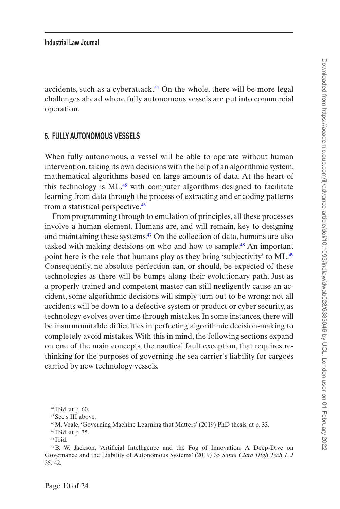accidents, such as a cyberattack.<sup>44</sup> On the whole, there will be more legal challenges ahead where fully autonomous vessels are put into commercial operation.

## **5. FULLY AUTONOMOUS VESSELS**

When fully autonomous, a vessel will be able to operate without human intervention, taking its own decisions with the help of an algorithmic system, mathematical algorithms based on large amounts of data. At the heart of this technology is  $ML<sub>1</sub><sup>45</sup>$  with computer algorithms designed to facilitate learning from data through the process of extracting and encoding patterns from a statistical perspective.[46](#page-9-2)

From programming through to emulation of principles, all these processes involve a human element. Humans are, and will remain, key to designing and maintaining these systems.[47](#page-9-3) On the collection of data, humans are also tasked with making decisions on who and how to sample.[48](#page-9-4) An important point here is the role that humans play as they bring 'subjectivity' to ML.<sup>49</sup> Consequently, no absolute perfection can, or should, be expected of these technologies as there will be bumps along their evolutionary path. Just as a properly trained and competent master can still negligently cause an accident, some algorithmic decisions will simply turn out to be wrong: not all accidents will be down to a defective system or product or cyber security, as technology evolves over time through mistakes. In some instances, there will be insurmountable difficulties in perfecting algorithmic decision-making to completely avoid mistakes. With this in mind, the following sections expand on one of the main concepts, the nautical fault exception, that requires rethinking for the purposes of governing the sea carrier's liability for cargoes carried by new technology vessels.

<span id="page-9-0"></span> $44$ Ibid. at p. 60.

<span id="page-9-1"></span><sup>45</sup>See s III above.

<span id="page-9-2"></span><sup>46</sup>M. Veale, 'Governing Machine Learning that Matters' (2019) PhD thesis, at p. 33.

<span id="page-9-3"></span><sup>47</sup>Ibid. at p. 35.

<span id="page-9-5"></span><span id="page-9-4"></span><sup>48</sup>Ibid.

<sup>49</sup>B. W. Jackson, 'Artificial Intelligence and the Fog of Innovation: A Deep-Dive on Governance and the Liability of Autonomous Systems' (2019) 35 *Santa Clara High Tech L J* 35, 42.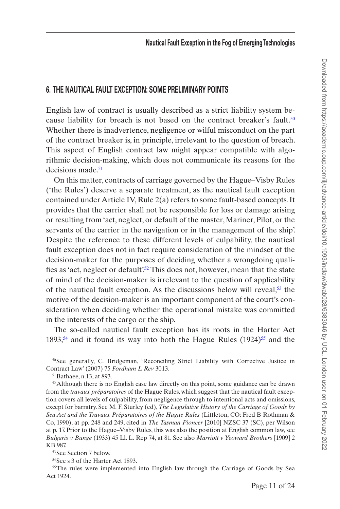# **6. THE NAUTICAL FAULT EXCEPTION: SOME PRELIMINARY POINTS**

English law of contract is usually described as a strict liability system be-cause liability for breach is not based on the contract breaker's fault.<sup>[50](#page-10-0)</sup> Whether there is inadvertence, negligence or wilful misconduct on the part of the contract breaker is, in principle, irrelevant to the question of breach. This aspect of English contract law might appear compatible with algorithmic decision-making, which does not communicate its reasons for the decisions made.<sup>[51](#page-10-1)</sup>

On this matter, contracts of carriage governed by the Hague–Visby Rules ('the Rules') deserve a separate treatment, as the nautical fault exception contained under Article IV, Rule 2(a) refers to some fault-based concepts. It provides that the carrier shall not be responsible for loss or damage arising or resulting from 'act, neglect, or default of the master, Mariner, Pilot, or the servants of the carrier in the navigation or in the management of the ship'. Despite the reference to these different levels of culpability, the nautical fault exception does not in fact require consideration of the mindset of the decision-maker for the purposes of deciding whether a wrongdoing qualifies as 'act, neglect or default'.<sup>52</sup> This does not, however, mean that the state of mind of the decision-maker is irrelevant to the question of applicability of the nautical fault exception. As the discussions below will reveal,  $53$  the motive of the decision-maker is an important component of the court's consideration when deciding whether the operational mistake was committed in the interests of the cargo or the ship.

The so-called nautical fault exception has its roots in the Harter Act 1893,<sup>54</sup> and it found its way into both the Hague Rules  $(1924)$ <sup>55</sup> and the

<span id="page-10-0"></span>50See generally, C. Bridgeman, 'Reconciling Strict Liability with Corrective Justice in Contract Law' (2007) 75 *Fordham L Rev* 3013.

<span id="page-10-2"></span><span id="page-10-1"></span>51Bathaee, n.13, at 893.

<sup>52</sup>Although there is no English case law directly on this point, some guidance can be drawn from the *travaux préparatoires* of the Hague Rules, which suggest that the nautical fault exception covers all levels of culpability, from negligence through to intentional acts and omissions, except for barratry. See M. F. Sturley (ed), *The Legislative History of the Carriage of Goods by Sea Act and the Travaux Préparatoires of the Hague Rules* (Littleton, CO: Fred B Rothman & Co, 1990), at pp. 248 and 249, cited in *The Tasman Pioneer* [2010] NZSC 37 (SC), per Wilson at p. 17. Prior to the Hague–Visby Rules, this was also the position at English common law, see *Bulgaris v Bunge* (1933) 45 Ll. L. Rep 74, at 81. See also *Marriott v Yeoward Brothers* [1909] 2 KB 987.

<span id="page-10-3"></span>53See Section 7 below.

<span id="page-10-5"></span><span id="page-10-4"></span>54See s 3 of the Harter Act 1893.

55The rules were implemented into English law through the Carriage of Goods by Sea Act 1924.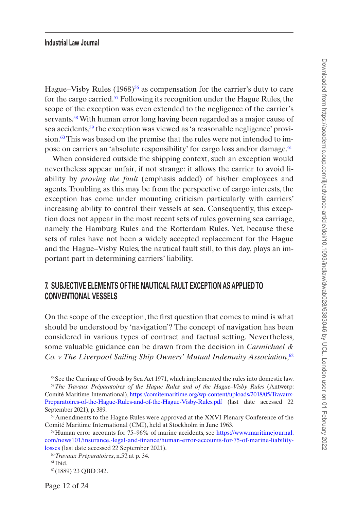Hague–Visby Rules  $(1968)^{56}$  as compensation for the carrier's duty to care for the cargo carried[.57](#page-11-1) Following its recognition under the Hague Rules, the scope of the exception was even extended to the negligence of the carrier's servants.<sup>58</sup> With human error long having been regarded as a major cause of sea accidents,<sup>59</sup> the exception was viewed as 'a reasonable negligence' provision.<sup>60</sup> This was based on the premise that the rules were not intended to impose on carriers an 'absolute responsibility' for cargo loss and/or damage.<sup>61</sup>

When considered outside the shipping context, such an exception would nevertheless appear unfair, if not strange: it allows the carrier to avoid liability by *proving the fault* (emphasis added) of his/her employees and agents. Troubling as this may be from the perspective of cargo interests, the exception has come under mounting criticism particularly with carriers' increasing ability to control their vessels at sea. Consequently, this exception does not appear in the most recent sets of rules governing sea carriage, namely the Hamburg Rules and the Rotterdam Rules. Yet, because these sets of rules have not been a widely accepted replacement for the Hague and the Hague–Visby Rules, the nautical fault still, to this day, plays an important part in determining carriers' liability.

# **7. SUBJECTIVE ELEMENTS OF THE NAUTICAL FAULT EXCEPTION AS APPLIED TO CONVENTIONAL VESSELS**

On the scope of the exception, the first question that comes to mind is what should be understood by 'navigation'? The concept of navigation has been considered in various types of contract and factual setting. Nevertheless, some valuable guidance can be drawn from the decision in *Carmichael & Co. v The Liverpool Sailing Ship Owners' Mutual Indemnity Association*, [62](#page-11-6)

<span id="page-11-1"></span><span id="page-11-0"></span>56See the Carriage of Goods by Sea Act 1971, which implemented the rules into domestic law. <sup>57</sup>*The Travaux Préparatoires of the Hague Rules and of the Hague–Visby Rules* (Antwerp: Comité Maritime International), [https://comitemaritime.org/wp-content/uploads/2018/05/Travaux-](https://comitemaritime.org/wp-content/uploads/2018/05/Travaux-Preparatoires-of-the-Hague-Rules-and-of-the-Hague-Visby-Rules.pdf)[Preparatoires-of-the-Hague-Rules-and-of-the-Hague-Visby-Rules.pdf](https://comitemaritime.org/wp-content/uploads/2018/05/Travaux-Preparatoires-of-the-Hague-Rules-and-of-the-Hague-Visby-Rules.pdf) (last date accessed 22 September 2021), p. 389.

<span id="page-11-2"></span><sup>&</sup>lt;sup>58</sup>Amendments to the Hague Rules were approved at the XXVI Plenary Conference of the Comité Maritime International (CMI), held at Stockholm in June 1963.

<span id="page-11-3"></span><sup>59</sup>Human error accounts for 75–96% of marine accidents, see [https://www.maritimejournal.](https://www.maritimejournal.com/news101/insurance,-legal-and-finance/human-error-accounts-for-75-of-marine-liability-losses) [com/news101/insurance,-legal-and-finance/human-error-accounts-for-75-of-marine-liability](https://www.maritimejournal.com/news101/insurance,-legal-and-finance/human-error-accounts-for-75-of-marine-liability-losses)[losses](https://www.maritimejournal.com/news101/insurance,-legal-and-finance/human-error-accounts-for-75-of-marine-liability-losses) (last date accessed 22 September 2021).

<span id="page-11-4"></span><sup>60</sup>*Travaux Préparatoires*, n.57, at p. 34.

<span id="page-11-5"></span> $61$ Ibid.

<span id="page-11-6"></span><sup>62(1889) 23</sup> QBD 342.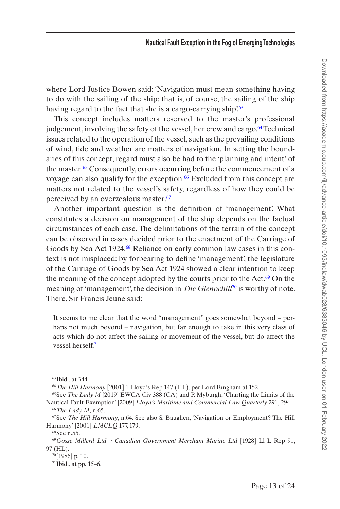where Lord Justice Bowen said: 'Navigation must mean something having to do with the sailing of the ship: that is, of course, the sailing of the ship having regard to the fact that she is a cargo-carrying ship'.<sup>[63](#page-12-0)</sup>

This concept includes matters reserved to the master's professional judgement, involving the safety of the vessel, her crew and cargo.<sup>64</sup> Technical issues related to the operation of the vessel, such as the prevailing conditions of wind, tide and weather are matters of navigation. In setting the boundaries of this concept, regard must also be had to the 'planning and intent' of the master.<sup>65</sup> Consequently, errors occurring before the commencement of a voyage can also qualify for the exception.<sup>66</sup> Excluded from this concept are matters not related to the vessel's safety, regardless of how they could be perceived by an overzealous master.<sup>[67](#page-12-4)</sup>

Another important question is the definition of 'management'. What constitutes a decision on management of the ship depends on the factual circumstances of each case. The delimitations of the terrain of the concept can be observed in cases decided prior to the enactment of the Carriage of Goods by Sea Act 1924.[68](#page-12-5) Reliance on early common law cases in this context is not misplaced: by forbearing to define 'management', the legislature of the Carriage of Goods by Sea Act 1924 showed a clear intention to keep the meaning of the concept adopted by the courts prior to the Act. $69$  On the meaning of 'management', the decision in *The Glenochill<sup>[70](#page-12-7)</sup>* is worthy of note. There, Sir Francis Jeune said:

It seems to me clear that the word "management" goes somewhat beyond – perhaps not much beyond – navigation, but far enough to take in this very class of acts which do not affect the sailing or movement of the vessel, but do affect the vessel herself.[71](#page-12-8)

<span id="page-12-2"></span><span id="page-12-1"></span><sup>64</sup>*The Hill Harmony* [2001] 1 Lloyd's Rep 147 (HL), per Lord Bingham at 152.

<sup>65</sup>See *The Lady M* [2019] EWCA Civ 388 (CA) and P. Myburgh, 'Charting the Limits of the Nautical Fault Exemption' [2009] *Lloyd's Maritime and Commercial Law Quarterly* 291, 294. <sup>66</sup>*The Lady M*, n.65.

<span id="page-12-4"></span><span id="page-12-3"></span>67See *The Hill Harmony*, n.64. See also S. Baughen, 'Navigation or Employment? The Hill Harmony' [2001] *LMCLQ* 177, 179.

<span id="page-12-6"></span><span id="page-12-5"></span>68See n.55.

<sup>69</sup>*Gosse Millerd Ltd v Canadian Government Merchant Marine Ltd* [1928] Ll L Rep 91, 97 (HL).

<span id="page-12-7"></span>70[1986] p. 10.

<span id="page-12-8"></span>71Ibid., at pp. 15–6.

<span id="page-12-0"></span><sup>63</sup>Ibid., at 344.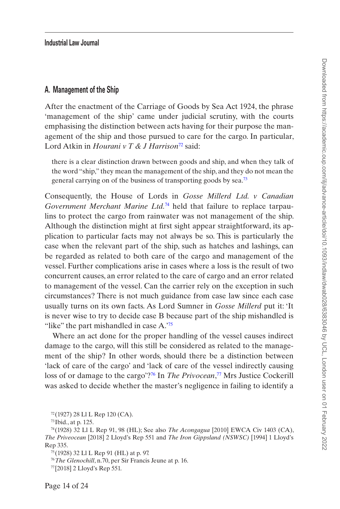#### **A. Management of the Ship**

After the enactment of the Carriage of Goods by Sea Act 1924, the phrase 'management of the ship' came under judicial scrutiny, with the courts emphasising the distinction between acts having for their purpose the management of the ship and those pursued to care for the cargo. In particular, Lord Atkin in *Hourani v T & J Harrison*[72](#page-13-0) said:

there is a clear distinction drawn between goods and ship, and when they talk of the word "ship," they mean the management of the ship, and they do not mean the general carrying on of the business of transporting goods by sea.[73](#page-13-1)

Consequently, the House of Lords in *Gosse Millerd Ltd. v Canadian Government Merchant Marine Ltd.*[74](#page-13-2) held that failure to replace tarpaulins to protect the cargo from rainwater was not management of the ship. Although the distinction might at first sight appear straightforward, its application to particular facts may not always be so. This is particularly the case when the relevant part of the ship, such as hatches and lashings, can be regarded as related to both care of the cargo and management of the vessel. Further complications arise in cases where a loss is the result of two concurrent causes, an error related to the care of cargo and an error related to management of the vessel. Can the carrier rely on the exception in such circumstances? There is not much guidance from case law since each case usually turns on its own facts. As Lord Sumner in *Gosse Millerd* put it: 'It is never wise to try to decide case B because part of the ship mishandled is "like" the part mishandled in case A.<sup>75</sup>

Where an act done for the proper handling of the vessel causes indirect damage to the cargo, will this still be considered as related to the management of the ship? In other words, should there be a distinction between 'lack of care of the cargo' and 'lack of care of the vessel indirectly causing loss of or damage to the cargo'?<sup>76</sup> In *The Privocean*,<sup>[77](#page-13-5)</sup> Mrs Justice Cockerill was asked to decide whether the master's negligence in failing to identify a

<span id="page-13-0"></span><sup>72</sup> (1927) 28 Ll L Rep 120 (CA).

<span id="page-13-2"></span><span id="page-13-1"></span><sup>73</sup> Ibid., at p. 125.

<sup>74</sup> (1928) 32 Ll L Rep 91, 98 (HL); See also *The Acongagua* [2010] EWCA Civ 1403 (CA), *The Priveocean* [2018] 2 Lloyd's Rep 551 and *The Iron Gippsland (NSWSC)* [1994] 1 Lloyd's Rep 335.

<span id="page-13-3"></span><sup>75</sup> (1928) 32 Ll L Rep 91 (HL) at p. 97.

<span id="page-13-4"></span><sup>76</sup>*The Glenochill*, n.70, per Sir Francis Jeune at p. 16.

<span id="page-13-5"></span><sup>77</sup> [2018] 2 Lloyd's Rep 551.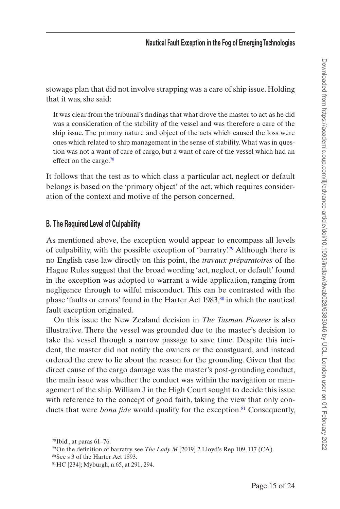stowage plan that did not involve strapping was a care of ship issue. Holding that it was, she said:

It was clear from the tribunal's findings that what drove the master to act as he did was a consideration of the stability of the vessel and was therefore a care of the ship issue. The primary nature and object of the acts which caused the loss were ones which related to ship management in the sense of stability. What was in question was not a want of care of cargo, but a want of care of the vessel which had an effect on the cargo.<sup>78</sup>

It follows that the test as to which class a particular act, neglect or default belongs is based on the 'primary object' of the act, which requires consideration of the context and motive of the person concerned.

## **B. The Required Level of Culpability**

As mentioned above, the exception would appear to encompass all levels of culpability, with the possible exception of 'barratry'.[79](#page-14-1) Although there is no English case law directly on this point, the *travaux préparatoires* of the Hague Rules suggest that the broad wording 'act, neglect, or default' found in the exception was adopted to warrant a wide application, ranging from negligence through to wilful misconduct. This can be contrasted with the phase 'faults or errors' found in the Harter Act  $1983$ ,<sup>80</sup> in which the nautical fault exception originated.

On this issue the New Zealand decision in *The Tasman Pioneer* is also illustrative. There the vessel was grounded due to the master's decision to take the vessel through a narrow passage to save time. Despite this incident, the master did not notify the owners or the coastguard, and instead ordered the crew to lie about the reason for the grounding. Given that the direct cause of the cargo damage was the master's post-grounding conduct, the main issue was whether the conduct was within the navigation or management of the ship. William J in the High Court sought to decide this issue with reference to the concept of good faith, taking the view that only conducts that were *bona fide* would qualify for the exception.<sup>81</sup> Consequently,

<span id="page-14-0"></span> $78$ Ibid., at paras 61–76.

<span id="page-14-1"></span><sup>79</sup>On the definition of barratry, see *The Lady M* [2019] 2 Lloyd's Rep 109, 117 (CA).

<span id="page-14-2"></span><sup>80</sup>See s 3 of the Harter Act 1893.

<span id="page-14-3"></span><sup>81</sup>HC [234]; Myburgh, n.65, at 291, 294.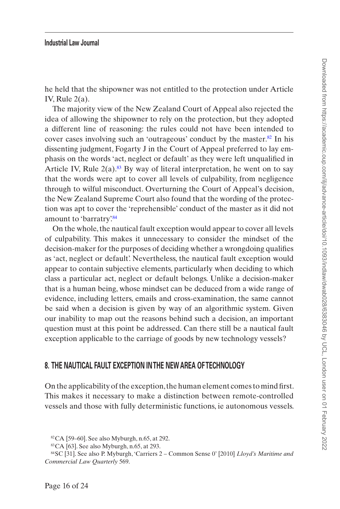he held that the shipowner was not entitled to the protection under Article IV, Rule  $2(a)$ .

The majority view of the New Zealand Court of Appeal also rejected the idea of allowing the shipowner to rely on the protection, but they adopted a different line of reasoning: the rules could not have been intended to cover cases involving such an 'outrageous' conduct by the master.<sup>82</sup> In his dissenting judgment, Fogarty J in the Court of Appeal preferred to lay emphasis on the words 'act, neglect or default' as they were left unqualified in Article IV, Rule  $2(a)$ .<sup>83</sup> By way of literal interpretation, he went on to say that the words were apt to cover all levels of culpability, from negligence through to wilful misconduct. Overturning the Court of Appeal's decision, the New Zealand Supreme Court also found that the wording of the protection was apt to cover the 'reprehensible' conduct of the master as it did not amount to 'barratry'.<sup>84</sup>

On the whole, the nautical fault exception would appear to cover all levels of culpability. This makes it unnecessary to consider the mindset of the decision-maker for the purposes of deciding whether a wrongdoing qualifies as 'act, neglect or default'. Nevertheless, the nautical fault exception would appear to contain subjective elements, particularly when deciding to which class a particular act, neglect or default belongs. Unlike a decision-maker that is a human being, whose mindset can be deduced from a wide range of evidence, including letters, emails and cross-examination, the same cannot be said when a decision is given by way of an algorithmic system. Given our inability to map out the reasons behind such a decision, an important question must at this point be addressed. Can there still be a nautical fault exception applicable to the carriage of goods by new technology vessels?

# **8. THE NAUTICAL FAULT EXCEPTION IN THE NEW AREA OF TECHNOLOGY**

On the applicability of the exception, the human element comes to mind first. This makes it necessary to make a distinction between remote-controlled vessels and those with fully deterministic functions, ie autonomous vessels.

<span id="page-15-0"></span> $82$ CA [59–60]. See also Myburgh, n.65, at 292.

<span id="page-15-2"></span><span id="page-15-1"></span><sup>83</sup>CA [63]. See also Myburgh, n.65, at 293.

<sup>84</sup>SC [31]. See also P. Myburgh, 'Carriers 2 – Common Sense 0' [2010] *Lloyd's Maritime and Commercial Law Quarterly* 569.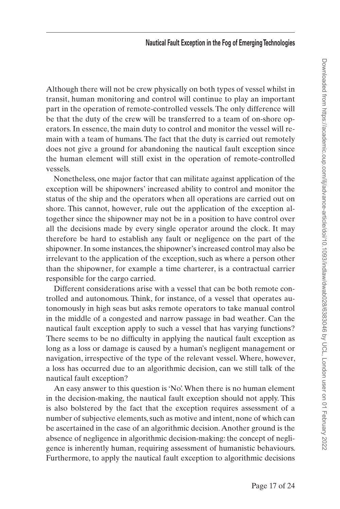Although there will not be crew physically on both types of vessel whilst in transit, human monitoring and control will continue to play an important part in the operation of remote-controlled vessels. The only difference will be that the duty of the crew will be transferred to a team of on-shore operators. In essence, the main duty to control and monitor the vessel will remain with a team of humans. The fact that the duty is carried out remotely does not give a ground for abandoning the nautical fault exception since the human element will still exist in the operation of remote-controlled vessels.

Nonetheless, one major factor that can militate against application of the exception will be shipowners' increased ability to control and monitor the status of the ship and the operators when all operations are carried out on shore. This cannot, however, rule out the application of the exception altogether since the shipowner may not be in a position to have control over all the decisions made by every single operator around the clock. It may therefore be hard to establish any fault or negligence on the part of the shipowner. In some instances, the shipowner's increased control may also be irrelevant to the application of the exception, such as where a person other than the shipowner, for example a time charterer, is a contractual carrier responsible for the cargo carried.

Different considerations arise with a vessel that can be both remote controlled and autonomous. Think, for instance, of a vessel that operates autonomously in high seas but asks remote operators to take manual control in the middle of a congested and narrow passage in bad weather. Can the nautical fault exception apply to such a vessel that has varying functions? There seems to be no difficulty in applying the nautical fault exception as long as a loss or damage is caused by a human's negligent management or navigation, irrespective of the type of the relevant vessel. Where, however, a loss has occurred due to an algorithmic decision, can we still talk of the nautical fault exception?

An easy answer to this question is 'No'. When there is no human element in the decision-making, the nautical fault exception should not apply. This is also bolstered by the fact that the exception requires assessment of a number of subjective elements, such as motive and intent, none of which can be ascertained in the case of an algorithmic decision. Another ground is the absence of negligence in algorithmic decision-making: the concept of negligence is inherently human, requiring assessment of humanistic behaviours. Furthermore, to apply the nautical fault exception to algorithmic decisions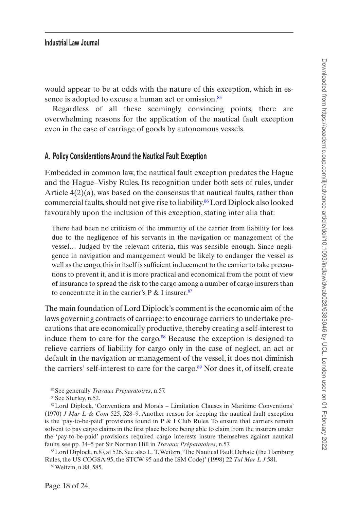would appear to be at odds with the nature of this exception, which in es-sence is adopted to excuse a human act or omission.<sup>[85](#page-17-0)</sup>

Regardless of all these seemingly convincing points, there are overwhelming reasons for the application of the nautical fault exception even in the case of carriage of goods by autonomous vessels.

#### **A. Policy Considerations Around the Nautical Fault Exception**

Embedded in common law, the nautical fault exception predates the Hague and the Hague–Visby Rules. Its recognition under both sets of rules, under Article 4(2)(a), was based on the consensus that nautical faults, rather than commercial faults, should not give rise to liability.<sup>86</sup> Lord Diplock also looked favourably upon the inclusion of this exception, stating inter alia that:

There had been no criticism of the immunity of the carrier from liability for loss due to the negligence of his servants in the navigation or management of the vessel… Judged by the relevant criteria, this was sensible enough. Since negligence in navigation and management would be likely to endanger the vessel as well as the cargo, this in itself is sufficient inducement to the carrier to take precautions to prevent it, and it is more practical and economical from the point of view of insurance to spread the risk to the cargo among a number of cargo insurers than to concentrate it in the carrier's P & I insurer.[87](#page-17-2)

The main foundation of Lord Diplock's comment is the economic aim of the laws governing contracts of carriage: to encourage carriers to undertake precautions that are economically productive, thereby creating a self-interest to induce them to care for the cargo.<sup>88</sup> Because the exception is designed to relieve carriers of liability for cargo only in the case of neglect, an act or default in the navigation or management of the vessel, it does not diminish the carriers' self-interest to care for the cargo.<sup>89</sup> Nor does it, of itself, create

87Lord Diplock, 'Conventions and Morals – Limitation Clauses in Maritime Conventions' (1970) *J Mar L & Com* 525, 528–9. Another reason for keeping the nautical fault exception is the 'pay-to-be-paid' provisions found in P  $&$  I Club Rules. To ensure that carriers remain solvent to pay cargo claims in the first place before being able to claim from the insurers under the 'pay-to-be-paid' provisions required cargo interests insure themselves against nautical faults, see pp. 34–5 per Sir Norman Hill in *Travaux Préparatoires*, n.57.

<span id="page-17-3"></span>88Lord Diplock, n.87, at 526. See also L. T. Weitzm, 'The Nautical Fault Debate (the Hamburg Rules, the US COGSA 95, the STCW 95 and the ISM Code)' (1998) 22 *Tul Mar L J* 581.

<span id="page-17-4"></span>89Weitzm, n.88, 585.

<span id="page-17-0"></span><sup>85</sup>See generally *Travaux Préparatoires*, n.57.

<span id="page-17-2"></span><span id="page-17-1"></span><sup>86</sup>See Sturley, n.52.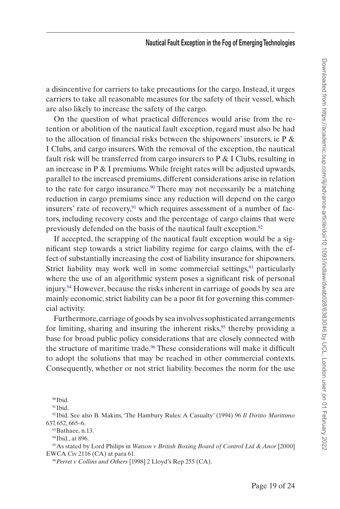a disincentive for carriers to take precautions for the cargo. Instead, it urges carriers to take all reasonable measures for the safety of their vessel, which are also likely to increase the safety of the cargo.

On the question of what practical differences would arise from the retention or abolition of the nautical fault exception, regard must also be had to the allocation of financial risks between the shipowners' insurers, ie P  $\&$ I Clubs, and cargo insurers. With the removal of the exception, the nautical fault risk will be transferred from cargo insurers to  $P \& I$  Clubs, resulting in an increase in  $P \& I$  premiums. While freight rates will be adjusted upwards, parallel to the increased premiums, different considerations arise in relation to the rate for cargo insurance.<sup>90</sup> There may not necessarily be a matching reduction in cargo premiums since any reduction will depend on the cargo insurers' rate of recovery, $91$  which requires assessment of a number of factors, including recovery costs and the percentage of cargo claims that were previously defended on the basis of the nautical fault exception.<sup>92</sup>

If accepted, the scrapping of the nautical fault exception would be a significant step towards a strict liability regime for cargo claims, with the effect of substantially increasing the cost of liability insurance for shipowners. Strict liability may work well in some commercial settings, $93$  particularly where the use of an algorithmic system poses a significant risk of personal injury.<sup>94</sup> However, because the risks inherent in carriage of goods by sea are mainly economic, strict liability can be a poor fit for governing this commercial activity.

Furthermore, carriage of goods by sea involves sophisticated arrangements for limiting, sharing and insuring the inherent risks, $95$  thereby providing a base for broad public policy considerations that are closely connected with the structure of maritime trade.<sup>96</sup> These considerations will make it difficult to adopt the solutions that may be reached in other commercial contexts. Consequently, whether or not strict liability becomes the norm for the use

92Ibid. See also B. Makins, 'The Hambury Rules: A Casualty' (1994) 96 *Il Diritto Marittimo* 637, 652, 665–6.

<span id="page-18-3"></span>93 Bathaee, n.13.

95As stated by Lord Philips in *Watson v British Boxing Board of Control Ltd & Anor* [2000] EWCA Civ 2116 (CA) at para 61.

<span id="page-18-6"></span><sup>96</sup>*Perret v Collins and Others* [1998] 2 Lloyd's Rep 255 (CA).

<span id="page-18-0"></span><sup>90</sup>Ibid.

<span id="page-18-2"></span><span id="page-18-1"></span> $91$ Ibid.

<span id="page-18-5"></span><span id="page-18-4"></span><sup>&</sup>lt;sup>94</sup>Ibid., at 896.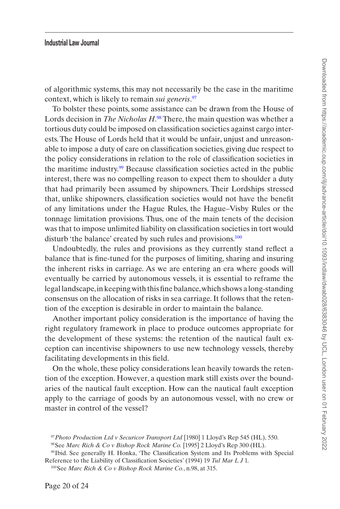of algorithmic systems, this may not necessarily be the case in the maritime context, which is likely to remain *sui generis*. [97](#page-19-0)

To bolster these points, some assistance can be drawn from the House of Lords decision in *The Nicholas H*. [98](#page-19-1) There, the main question was whether a tortious duty could be imposed on classification societies against cargo interests. The House of Lords held that it would be unfair, unjust and unreasonable to impose a duty of care on classification societies, giving due respect to the policy considerations in relation to the role of classification societies in the maritime industry.[99](#page-19-2) Because classification societies acted in the public interest, there was no compelling reason to expect them to shoulder a duty that had primarily been assumed by shipowners. Their Lordships stressed that, unlike shipowners, classification societies would not have the benefit of any limitations under the Hague Rules, the Hague–Visby Rules or the tonnage limitation provisions. Thus, one of the main tenets of the decision was that to impose unlimited liability on classification societies in tort would disturb 'the balance' created by such rules and provisions.<sup>[100](#page-19-3)</sup>

Undoubtedly, the rules and provisions as they currently stand reflect a balance that is fine-tuned for the purposes of limiting, sharing and insuring the inherent risks in carriage. As we are entering an era where goods will eventually be carried by autonomous vessels, it is essential to reframe the legal landscape, in keeping with this fine balance, which shows a long-standing consensus on the allocation of risks in sea carriage. It follows that the retention of the exception is desirable in order to maintain the balance.

Another important policy consideration is the importance of having the right regulatory framework in place to produce outcomes appropriate for the development of these systems: the retention of the nautical fault exception can incentivise shipowners to use new technology vessels, thereby facilitating developments in this field.

On the whole, these policy considerations lean heavily towards the retention of the exception. However, a question mark still exists over the boundaries of the nautical fault exception. How can the nautical fault exception apply to the carriage of goods by an autonomous vessel, with no crew or master in control of the vessel?

<span id="page-19-0"></span><sup>97</sup>*Photo Production Ltd v Securicor Transport Ltd* [1980] 1 Lloyd's Rep 545 (HL), 550.

<span id="page-19-2"></span><span id="page-19-1"></span><sup>98</sup>See *Marc Rich & Co v Bishop Rock Marine Co.* [1995] 2 Lloyd's Rep 300 (HL).

<sup>99</sup>Ibid. See generally H. Honka, 'The Classification System and Its Problems with Special Reference to the Liability of Classification Societies' (1994) 19 *Tul Mar L J* 1.

<span id="page-19-3"></span><sup>100</sup>See *Marc Rich & Co v Bishop Rock Marine Co.*, n.98, at 315.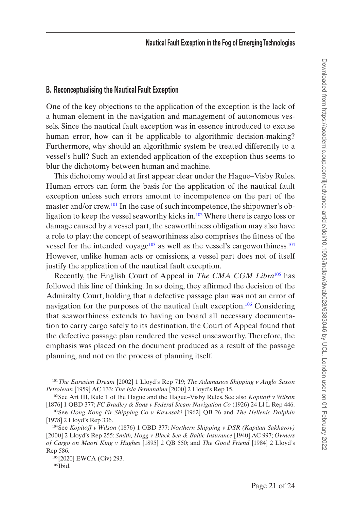# **B. Reconceptualising the Nautical Fault Exception**

One of the key objections to the application of the exception is the lack of a human element in the navigation and management of autonomous vessels. Since the nautical fault exception was in essence introduced to excuse human error, how can it be applicable to algorithmic decision-making? Furthermore, why should an algorithmic system be treated differently to a vessel's hull? Such an extended application of the exception thus seems to blur the dichotomy between human and machine.

This dichotomy would at first appear clear under the Hague–Visby Rules. Human errors can form the basis for the application of the nautical fault exception unless such errors amount to incompetence on the part of the master and/or crew[.101](#page-20-0) In the case of such incompetence, the shipowner's obligation to keep the vessel seaworthy kicks in.[102](#page-20-1) Where there is cargo loss or damage caused by a vessel part, the seaworthiness obligation may also have a role to play: the concept of seaworthiness also comprises the fitness of the vessel for the intended voyage<sup>103</sup> as well as the vessel's cargoworthiness.<sup>[104](#page-20-3)</sup> However, unlike human acts or omissions, a vessel part does not of itself justify the application of the nautical fault exception.

Recently, the English Court of Appeal in *The CMA CGM Libra*[105](#page-20-4) has followed this line of thinking. In so doing, they affirmed the decision of the Admiralty Court, holding that a defective passage plan was not an error of navigation for the purposes of the nautical fault exception.<sup>106</sup> Considering that seaworthiness extends to having on board all necessary documentation to carry cargo safely to its destination, the Court of Appeal found that the defective passage plan rendered the vessel unseaworthy. Therefore, the emphasis was placed on the document produced as a result of the passage planning, and not on the process of planning itself.

<span id="page-20-4"></span>105[2020] EWCA (Civ) 293.

<span id="page-20-5"></span> $106$  Ibid.

<span id="page-20-0"></span><sup>101</sup>*The Eurasian Dream* [2002] 1 Lloyd's Rep 719; *The Adamastos Shipping v Anglo Saxon Petroleum* [1959] AC 133; *The Isla Fernandina* [2000] 2 Lloyd's Rep 15.

<span id="page-20-1"></span><sup>102</sup>See Art III, Rule 1 of the Hague and the Hague–Visby Rules. See also *Kopitoff v Wilson* [1876] 1 QBD 377; *FC Bradley & Sons v Federal Steam Navigation Co* (1926) 24 Ll L Rep 446.

<span id="page-20-2"></span><sup>103</sup>See *Hong Kong Fir Shipping Co v Kawasaki* [1962] QB 26 and *The Hellenic Dolphin* [1978] 2 Lloyd's Rep 336.

<span id="page-20-3"></span><sup>104</sup>See *Kopitoff v Wilson* (1876) 1 QBD 377: *Northern Shipping v DSR (Kapitan Sakharov)* [2000] 2 Lloyd's Rep 255: *Smith, Hogg v Black Sea & Baltic Insurance* [1940] AC 997; *Owners of Cargo on Maori King v Hughes* [1895] 2 QB 550; and *The Good Friend* [1984] 2 Lloyd's Rep 586.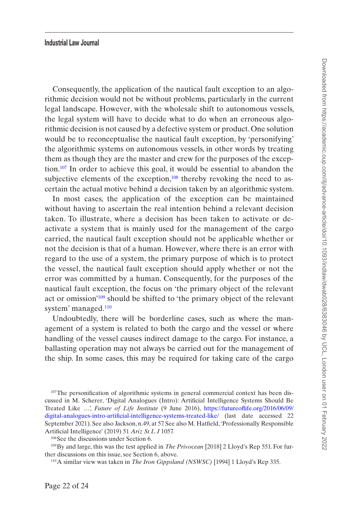Consequently, the application of the nautical fault exception to an algorithmic decision would not be without problems, particularly in the current legal landscape. However, with the wholesale shift to autonomous vessels, the legal system will have to decide what to do when an erroneous algorithmic decision is not caused by a defective system or product. One solution would be to reconceptualise the nautical fault exception, by 'personifying' the algorithmic systems on autonomous vessels, in other words by treating them as though they are the master and crew for the purposes of the exception.[107](#page-21-0) In order to achieve this goal, it would be essential to abandon the subjective elements of the exception, $108$  thereby revoking the need to ascertain the actual motive behind a decision taken by an algorithmic system.

In most cases, the application of the exception can be maintained without having to ascertain the real intention behind a relevant decision taken. To illustrate, where a decision has been taken to activate or deactivate a system that is mainly used for the management of the cargo carried, the nautical fault exception should not be applicable whether or not the decision is that of a human. However, where there is an error with regard to the use of a system, the primary purpose of which is to protect the vessel, the nautical fault exception should apply whether or not the error was committed by a human. Consequently, for the purposes of the nautical fault exception, the focus on 'the primary object of the relevant act or omission'[109](#page-21-2) should be shifted to 'the primary object of the relevant system' managed[.110](#page-21-3)

Undoubtedly, there will be borderline cases, such as where the management of a system is related to both the cargo and the vessel or where handling of the vessel causes indirect damage to the cargo. For instance, a ballasting operation may not always be carried out for the management of the ship. In some cases, this may be required for taking care of the cargo

<span id="page-21-0"></span> $107$ The personification of algorithmic systems in general commercial context has been discussed in M. Scherer, 'Digital Analogues (Intro): Artificial Intelligence Systems Should Be Treated Like …', *Future of Life Institute* (9 June 2016), [https://futureoflife.org/2016/06/09/](https://futureoflife.org/2016/06/09/digital-analogues-intro-artificial-intelligence-systems-treated-like/) [digital-analogues-intro-artificial-intelligence-systems-treated-like/](https://futureoflife.org/2016/06/09/digital-analogues-intro-artificial-intelligence-systems-treated-like/) (last date accessed 22 September 2021). See also Jackson, n.49, at 57. See also M. Hatfield, 'Professionally Responsible Artificial Intelligence' (2019) 51 *Ariz St L J* 1057.

<span id="page-21-2"></span><span id="page-21-1"></span><sup>108</sup>See the discussions under Section 6.

<sup>109</sup>By and large, this was the test applied in *The Privocean* [2018] 2 Lloyd's Rep 551. For further discussions on this issue, see Section 6, above.

<span id="page-21-3"></span><sup>110</sup>A similar view was taken in *The Iron Gippsland (NSWSC)* [1994] 1 Lloyd's Rep 335.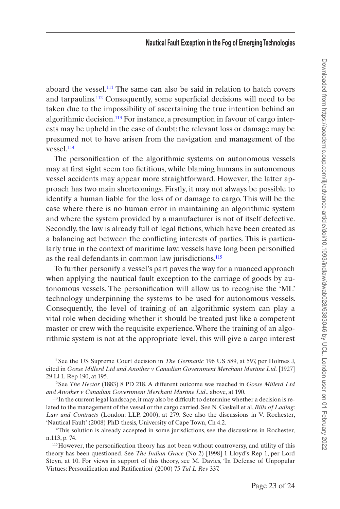aboard the vessel.<sup>111</sup> The same can also be said in relation to hatch covers and tarpaulins.[112](#page-22-1) Consequently, some superficial decisions will need to be taken due to the impossibility of ascertaining the true intention behind an algorithmic decision.<sup>113</sup> For instance, a presumption in favour of cargo interests may be upheld in the case of doubt: the relevant loss or damage may be presumed not to have arisen from the navigation and management of the vessel[.114](#page-22-3)

The personification of the algorithmic systems on autonomous vessels may at first sight seem too fictitious, while blaming humans in autonomous vessel accidents may appear more straightforward. However, the latter approach has two main shortcomings. Firstly, it may not always be possible to identify a human liable for the loss of or damage to cargo. This will be the case where there is no human error in maintaining an algorithmic system and where the system provided by a manufacturer is not of itself defective. Secondly, the law is already full of legal fictions, which have been created as a balancing act between the conflicting interests of parties. This is particularly true in the context of maritime law: vessels have long been personified as the real defendants in common law jurisdictions.<sup>115</sup>

To further personify a vessel's part paves the way for a nuanced approach when applying the nautical fault exception to the carriage of goods by autonomous vessels. The personification will allow us to recognise the 'ML' technology underpinning the systems to be used for autonomous vessels. Consequently, the level of training of an algorithmic system can play a vital role when deciding whether it should be treated just like a competent master or crew with the requisite experience. Where the training of an algorithmic system is not at the appropriate level, this will give a cargo interest

<span id="page-22-0"></span>111See the US Supreme Court decision in *The Germanic* 196 US 589, at 597, per Holmes J, cited in *Gosse Millerd Ltd and Another v Canadian Government Merchant Martine Ltd.* [1927] 29 Ll L Rep 190, at 195.

<span id="page-22-1"></span>112See *The Hector* (1883) 8 PD 218. A different outcome was reached in *Gosse Millerd Ltd and Another v Canadian Government Merchant Martine Ltd*., above, at 190.

<span id="page-22-2"></span>113In the current legal landscape, it may also be difficult to determine whether a decision is related to the management of the vessel or the cargo carried. See N. Gaskell et al, *Bills of Lading: Law and Contracts* (London: LLP, 2000), at 279. See also the discussions in V. Rochester, 'Nautical Fault' (2008) PhD thesis, University of Cape Town, Ch 4.2.

<span id="page-22-3"></span>114This solution is already accepted in some jurisdictions, see the discussions in Rochester, n.113, p. 74.

<span id="page-22-4"></span>115However, the personification theory has not been without controversy, and utility of this theory has been questioned. See *The Indian Grace* (No 2) [1998] 1 Lloyd's Rep 1, per Lord Steyn, at 10. For views in support of this theory, see M. Davies, 'In Defense of Unpopular Virtues: Personification and Ratification' (2000) 75 *Tul L Rev* 337.